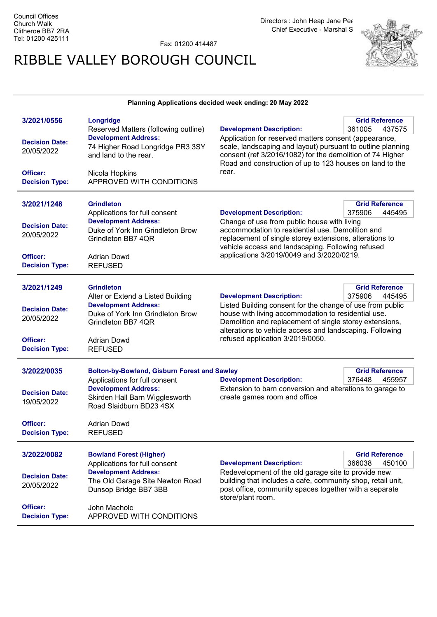Fax: 01200 414487

# RIBBLE VALLEY BOROUGH COUNCIL



### Planning Applications decided week ending: 20 May 2022

| 3/2021/0556           | Longridge                                                |                                                                                                                    | <b>Grid Reference</b> |
|-----------------------|----------------------------------------------------------|--------------------------------------------------------------------------------------------------------------------|-----------------------|
|                       | Reserved Matters (following outline)                     | <b>Development Description:</b>                                                                                    | 361005<br>437575      |
|                       | <b>Development Address:</b>                              | Application for reserved matters consent (appearance,                                                              |                       |
| <b>Decision Date:</b> | 74 Higher Road Longridge PR3 3SY                         | scale, landscaping and layout) pursuant to outline planning                                                        |                       |
| 20/05/2022            | and land to the rear.                                    | consent (ref 3/2016/1082) for the demolition of 74 Higher                                                          |                       |
|                       |                                                          | Road and construction of up to 123 houses on land to the                                                           |                       |
| Officer:              | Nicola Hopkins                                           | rear.                                                                                                              |                       |
| <b>Decision Type:</b> | APPROVED WITH CONDITIONS                                 |                                                                                                                    |                       |
|                       |                                                          |                                                                                                                    |                       |
|                       |                                                          |                                                                                                                    |                       |
| 3/2021/1248           | <b>Grindleton</b>                                        |                                                                                                                    | <b>Grid Reference</b> |
|                       | Applications for full consent                            | <b>Development Description:</b>                                                                                    | 375906<br>445495      |
| <b>Decision Date:</b> | <b>Development Address:</b>                              | Change of use from public house with living                                                                        |                       |
|                       | Duke of York Inn Grindleton Brow                         | accommodation to residential use. Demolition and                                                                   |                       |
| 20/05/2022            | Grindleton BB7 4QR                                       | replacement of single storey extensions, alterations to                                                            |                       |
|                       |                                                          | vehicle access and landscaping. Following refused                                                                  |                       |
| Officer:              | <b>Adrian Dowd</b>                                       | applications 3/2019/0049 and 3/2020/0219.                                                                          |                       |
| <b>Decision Type:</b> | <b>REFUSED</b>                                           |                                                                                                                    |                       |
|                       |                                                          |                                                                                                                    |                       |
|                       |                                                          |                                                                                                                    |                       |
| 3/2021/1249           | <b>Grindleton</b>                                        |                                                                                                                    | <b>Grid Reference</b> |
|                       | Alter or Extend a Listed Building                        | <b>Development Description:</b>                                                                                    | 375906<br>445495      |
| <b>Decision Date:</b> | <b>Development Address:</b>                              | Listed Building consent for the change of use from public                                                          |                       |
| 20/05/2022            | Duke of York Inn Grindleton Brow                         | house with living accommodation to residential use.                                                                |                       |
|                       | Grindleton BB7 4QR                                       | Demolition and replacement of single storey extensions,                                                            |                       |
|                       |                                                          |                                                                                                                    |                       |
|                       |                                                          | alterations to vehicle access and landscaping. Following                                                           |                       |
| Officer:              | <b>Adrian Dowd</b>                                       | refused application 3/2019/0050.                                                                                   |                       |
| <b>Decision Type:</b> | <b>REFUSED</b>                                           |                                                                                                                    |                       |
|                       |                                                          |                                                                                                                    |                       |
|                       |                                                          |                                                                                                                    |                       |
| 3/2022/0035           | <b>Bolton-by-Bowland, Gisburn Forest and Sawley</b>      |                                                                                                                    | <b>Grid Reference</b> |
|                       | Applications for full consent                            | <b>Development Description:</b>                                                                                    | 376448<br>455957      |
| <b>Decision Date:</b> | <b>Development Address:</b>                              | Extension to barn conversion and alterations to garage to                                                          |                       |
| 19/05/2022            | Skirden Hall Barn Wigglesworth                           | create games room and office                                                                                       |                       |
|                       | Road Slaidburn BD23 4SX                                  |                                                                                                                    |                       |
|                       |                                                          |                                                                                                                    |                       |
| Officer:              | <b>Adrian Dowd</b>                                       |                                                                                                                    |                       |
| <b>Decision Type:</b> | <b>REFUSED</b>                                           |                                                                                                                    |                       |
|                       |                                                          |                                                                                                                    |                       |
| 3/2022/0082           | <b>Bowland Forest (Higher)</b>                           |                                                                                                                    | <b>Grid Reference</b> |
|                       | Applications for full consent                            | <b>Development Description:</b>                                                                                    | 450100<br>366038      |
|                       | <b>Development Address:</b>                              |                                                                                                                    |                       |
| <b>Decision Date:</b> |                                                          | Redevelopment of the old garage site to provide new<br>building that includes a cafe, community shop, retail unit, |                       |
| 20/05/2022            | The Old Garage Site Newton Road<br>Dunsop Bridge BB7 3BB | post office, community spaces together with a separate                                                             |                       |
|                       |                                                          | store/plant room.                                                                                                  |                       |
| Officer:              |                                                          |                                                                                                                    |                       |
| <b>Decision Type:</b> | John Macholc<br>APPROVED WITH CONDITIONS                 |                                                                                                                    |                       |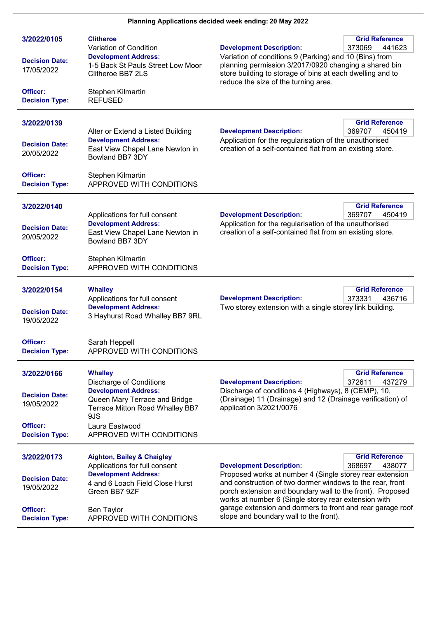## Planning Applications decided week ending: 20 May 2022

| 3/2022/0105<br><b>Decision Date:</b><br>17/05/2022<br>Officer: | <b>Clitheroe</b><br>Variation of Condition<br><b>Development Address:</b><br>1-5 Back St Pauls Street Low Moor<br>Clitheroe BB7 2LS | <b>Grid Reference</b><br><b>Development Description:</b><br>373069<br>441623<br>Variation of conditions 9 (Parking) and 10 (Bins) from<br>planning permission 3/2017/0920 changing a shared bin<br>store building to storage of bins at each dwelling and to<br>reduce the size of the turning area. |  |
|----------------------------------------------------------------|-------------------------------------------------------------------------------------------------------------------------------------|------------------------------------------------------------------------------------------------------------------------------------------------------------------------------------------------------------------------------------------------------------------------------------------------------|--|
| <b>Decision Type:</b>                                          | Stephen Kilmartin<br><b>REFUSED</b>                                                                                                 |                                                                                                                                                                                                                                                                                                      |  |
| 3/2022/0139                                                    | Alter or Extend a Listed Building                                                                                                   | <b>Grid Reference</b><br><b>Development Description:</b><br>369707<br>450419                                                                                                                                                                                                                         |  |
| <b>Decision Date:</b><br>20/05/2022                            | <b>Development Address:</b><br>East View Chapel Lane Newton in<br>Bowland BB7 3DY                                                   | Application for the regularisation of the unauthorised<br>creation of a self-contained flat from an existing store.                                                                                                                                                                                  |  |
| Officer:<br><b>Decision Type:</b>                              | Stephen Kilmartin<br>APPROVED WITH CONDITIONS                                                                                       |                                                                                                                                                                                                                                                                                                      |  |
| 3/2022/0140                                                    |                                                                                                                                     | <b>Grid Reference</b>                                                                                                                                                                                                                                                                                |  |
| <b>Decision Date:</b><br>20/05/2022                            | Applications for full consent<br><b>Development Address:</b><br>East View Chapel Lane Newton in<br>Bowland BB7 3DY                  | <b>Development Description:</b><br>369707<br>450419<br>Application for the regularisation of the unauthorised<br>creation of a self-contained flat from an existing store.                                                                                                                           |  |
| Officer:<br><b>Decision Type:</b>                              | Stephen Kilmartin<br>APPROVED WITH CONDITIONS                                                                                       |                                                                                                                                                                                                                                                                                                      |  |
| 3/2022/0154                                                    | <b>Whalley</b><br>Applications for full consent<br><b>Development Address:</b>                                                      | <b>Grid Reference</b><br>373331<br>436716<br><b>Development Description:</b><br>Two storey extension with a single storey link building.                                                                                                                                                             |  |
| <b>Decision Date:</b><br>19/05/2022                            | 3 Hayhurst Road Whalley BB7 9RL                                                                                                     |                                                                                                                                                                                                                                                                                                      |  |
| Officer:<br><b>Decision Type:</b>                              | Sarah Heppell<br>APPROVED WITH CONDITIONS                                                                                           |                                                                                                                                                                                                                                                                                                      |  |
| 3/2022/0166                                                    | <b>Whalley</b><br><b>Discharge of Conditions</b>                                                                                    | <b>Grid Reference</b><br><b>Development Description:</b><br>372611<br>437279                                                                                                                                                                                                                         |  |
| <b>Decision Date:</b><br>19/05/2022                            | <b>Development Address:</b><br>Queen Mary Terrace and Bridge<br>Terrace Mitton Road Whalley BB7<br>9JS                              | Discharge of conditions 4 (Highways), 8 (CEMP), 10,<br>(Drainage) 11 (Drainage) and 12 (Drainage verification) of<br>application 3/2021/0076                                                                                                                                                         |  |
| Officer:<br><b>Decision Type:</b>                              | Laura Eastwood<br>APPROVED WITH CONDITIONS                                                                                          |                                                                                                                                                                                                                                                                                                      |  |
| 3/2022/0173                                                    | <b>Aighton, Bailey &amp; Chaigley</b><br>Applications for full consent                                                              | <b>Grid Reference</b><br><b>Development Description:</b><br>368697<br>438077                                                                                                                                                                                                                         |  |
| <b>Decision Date:</b><br>19/05/2022                            | <b>Development Address:</b><br>4 and 6 Loach Field Close Hurst<br>Green BB7 9ZF                                                     | Proposed works at number 4 (Single storey rear extension<br>and construction of two dormer windows to the rear, front<br>porch extension and boundary wall to the front). Proposed<br>works at number 6 (Single storey rear extension with                                                           |  |
| Officer:<br><b>Decision Type:</b>                              | <b>Ben Taylor</b><br>APPROVED WITH CONDITIONS                                                                                       | garage extension and dormers to front and rear garage roof<br>slope and boundary wall to the front).                                                                                                                                                                                                 |  |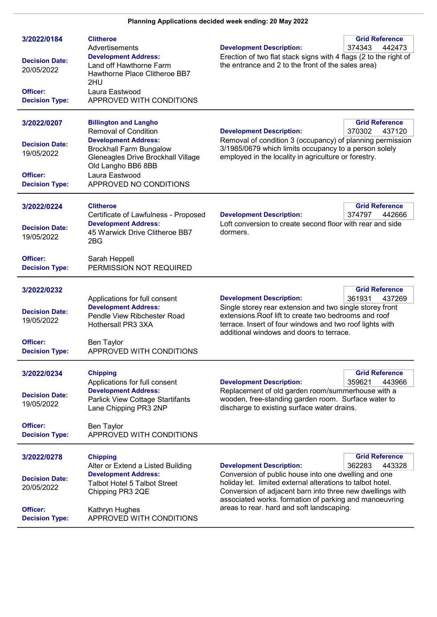## Planning Applications decided week ending: 20 May 2022

| 3/2022/0184<br><b>Decision Date:</b><br>20/05/2022<br>Officer: | <b>Clitheroe</b><br>Advertisements<br><b>Development Address:</b><br>Land off Hawthorne Farm<br>Hawthorne Place Clitheroe BB7<br>2HU<br>Laura Eastwood | <b>Development Description:</b><br>Erection of two flat stack signs with 4 flags (2 to the right of<br>the entrance and 2 to the front of the sales area)                                                                                                                        | <b>Grid Reference</b><br>374343<br>442473 |
|----------------------------------------------------------------|--------------------------------------------------------------------------------------------------------------------------------------------------------|----------------------------------------------------------------------------------------------------------------------------------------------------------------------------------------------------------------------------------------------------------------------------------|-------------------------------------------|
| <b>Decision Type:</b>                                          | APPROVED WITH CONDITIONS                                                                                                                               |                                                                                                                                                                                                                                                                                  |                                           |
| 3/2022/0207                                                    | <b>Billington and Langho</b><br><b>Removal of Condition</b>                                                                                            | <b>Development Description:</b>                                                                                                                                                                                                                                                  | <b>Grid Reference</b><br>370302<br>437120 |
| <b>Decision Date:</b><br>19/05/2022                            | <b>Development Address:</b><br><b>Brockhall Farm Bungalow</b><br>Gleneagles Drive Brockhall Village<br>Old Langho BB6 8BB                              | Removal of condition 3 (occupancy) of planning permission<br>3/1985/0679 which limits occupancy to a person solely<br>employed in the locality in agriculture or forestry.                                                                                                       |                                           |
| Officer:<br><b>Decision Type:</b>                              | Laura Eastwood<br>APPROVED NO CONDITIONS                                                                                                               |                                                                                                                                                                                                                                                                                  |                                           |
| 3/2022/0224                                                    | <b>Clitheroe</b><br>Certificate of Lawfulness - Proposed                                                                                               | <b>Development Description:</b>                                                                                                                                                                                                                                                  | <b>Grid Reference</b><br>374797<br>442666 |
| <b>Decision Date:</b><br>19/05/2022                            | <b>Development Address:</b><br>45 Warwick Drive Clitheroe BB7<br>2BG                                                                                   | Loft conversion to create second floor with rear and side<br>dormers.                                                                                                                                                                                                            |                                           |
| Officer:<br><b>Decision Type:</b>                              | Sarah Heppell<br>PERMISSION NOT REQUIRED                                                                                                               |                                                                                                                                                                                                                                                                                  |                                           |
| 3/2022/0232                                                    |                                                                                                                                                        |                                                                                                                                                                                                                                                                                  | <b>Grid Reference</b>                     |
| <b>Decision Date:</b><br>19/05/2022                            | Applications for full consent<br><b>Development Address:</b><br>Pendle View Ribchester Road<br>Hothersall PR3 3XA                                      | 361931<br><b>Development Description:</b><br>437269<br>Single storey rear extension and two single storey front<br>extensions. Roof lift to create two bedrooms and roof<br>terrace. Insert of four windows and two roof lights with<br>additional windows and doors to terrace. |                                           |
| Officer:<br><b>Decision Type:</b>                              | Ben Taylor<br>APPROVED WITH CONDITIONS                                                                                                                 |                                                                                                                                                                                                                                                                                  |                                           |
| 3/2022/0234                                                    | <b>Chipping</b><br>Applications for full consent                                                                                                       |                                                                                                                                                                                                                                                                                  | <b>Grid Reference</b>                     |
| <b>Decision Date:</b><br>19/05/2022                            | <b>Development Address:</b><br><b>Parlick View Cottage Startifants</b><br>Lane Chipping PR3 2NP                                                        | <b>Development Description:</b><br>359621<br>443966<br>Replacement of old garden room/summerhouse with a<br>wooden, free-standing garden room. Surface water to<br>discharge to existing surface water drains.                                                                   |                                           |
| Officer:<br><b>Decision Type:</b>                              | Ben Taylor<br>APPROVED WITH CONDITIONS                                                                                                                 |                                                                                                                                                                                                                                                                                  |                                           |
| 3/2022/0278                                                    | <b>Chipping</b><br>Alter or Extend a Listed Building                                                                                                   | <b>Development Description:</b>                                                                                                                                                                                                                                                  | <b>Grid Reference</b><br>443328<br>362283 |
| <b>Decision Date:</b><br>20/05/2022                            | <b>Development Address:</b><br><b>Talbot Hotel 5 Talbot Street</b><br>Chipping PR3 2QE                                                                 | Conversion of public house into one dwelling and one<br>holiday let. limited external alterations to talbot hotel.<br>Conversion of adjacent barn into three new dwellings with<br>associated works. formation of parking and manoeuvring                                        |                                           |
| Officer:<br><b>Decision Type:</b>                              | Kathryn Hughes<br>APPROVED WITH CONDITIONS                                                                                                             | areas to rear. hard and soft landscaping.                                                                                                                                                                                                                                        |                                           |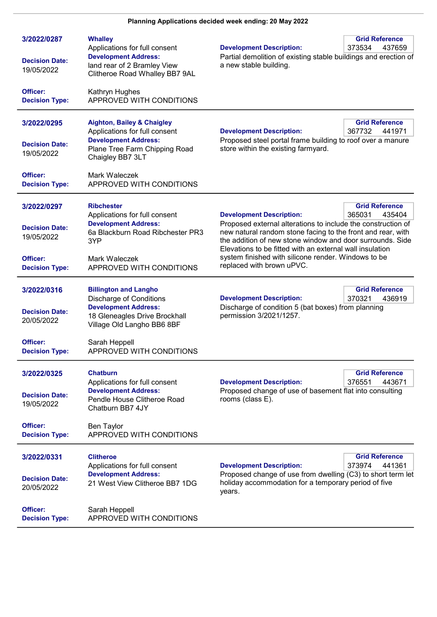| 3/2022/0287<br><b>Decision Date:</b><br>19/05/2022 | <b>Whalley</b><br>Applications for full consent<br><b>Development Address:</b><br>land rear of 2 Bramley View<br>Clitheroe Road Whalley BB7 9AL              | <b>Grid Reference</b><br><b>Development Description:</b><br>373534<br>437659<br>Partial demolition of existing stable buildings and erection of<br>a new stable building.                                                                                                                                                            |
|----------------------------------------------------|--------------------------------------------------------------------------------------------------------------------------------------------------------------|--------------------------------------------------------------------------------------------------------------------------------------------------------------------------------------------------------------------------------------------------------------------------------------------------------------------------------------|
| Officer:<br><b>Decision Type:</b>                  | Kathryn Hughes<br>APPROVED WITH CONDITIONS                                                                                                                   |                                                                                                                                                                                                                                                                                                                                      |
| 3/2022/0295<br><b>Decision Date:</b><br>19/05/2022 | <b>Aighton, Bailey &amp; Chaigley</b><br>Applications for full consent<br><b>Development Address:</b><br>Plane Tree Farm Chipping Road<br>Chaigley BB7 3LT   | <b>Grid Reference</b><br><b>Development Description:</b><br>367732<br>441971<br>Proposed steel portal frame building to roof over a manure<br>store within the existing farmyard.                                                                                                                                                    |
| Officer:<br><b>Decision Type:</b>                  | Mark Waleczek<br>APPROVED WITH CONDITIONS                                                                                                                    |                                                                                                                                                                                                                                                                                                                                      |
| 3/2022/0297<br><b>Decision Date:</b><br>19/05/2022 | <b>Ribchester</b><br>Applications for full consent<br><b>Development Address:</b><br>6a Blackburn Road Ribchester PR3<br>3YP                                 | <b>Grid Reference</b><br><b>Development Description:</b><br>365031<br>435404<br>Proposed external alterations to include the construction of<br>new natural random stone facing to the front and rear, with<br>the addition of new stone window and door surrounds. Side<br>Elevations to be fitted with an external wall insulation |
| Officer:<br><b>Decision Type:</b>                  | Mark Waleczek<br>APPROVED WITH CONDITIONS                                                                                                                    | system finished with silicone render. Windows to be<br>replaced with brown uPVC.                                                                                                                                                                                                                                                     |
| 3/2022/0316<br><b>Decision Date:</b><br>20/05/2022 | <b>Billington and Langho</b><br><b>Discharge of Conditions</b><br><b>Development Address:</b><br>18 Gleneagles Drive Brockhall<br>Village Old Langho BB6 8BF | <b>Grid Reference</b><br>370321<br>436919<br><b>Development Description:</b><br>Discharge of condition 5 (bat boxes) from planning<br>permission 3/2021/1257.                                                                                                                                                                        |
| Officer:<br><b>Decision Type:</b>                  | Sarah Heppell<br>APPROVED WITH CONDITIONS                                                                                                                    |                                                                                                                                                                                                                                                                                                                                      |
| 3/2022/0325<br><b>Decision Date:</b><br>19/05/2022 | <b>Chatburn</b><br>Applications for full consent<br><b>Development Address:</b><br>Pendle House Clitheroe Road<br>Chatburn BB7 4JY                           | <b>Grid Reference</b><br>376551<br>443671<br><b>Development Description:</b><br>Proposed change of use of basement flat into consulting<br>rooms (class E).                                                                                                                                                                          |
| Officer:<br><b>Decision Type:</b>                  | Ben Taylor<br>APPROVED WITH CONDITIONS                                                                                                                       |                                                                                                                                                                                                                                                                                                                                      |
| 3/2022/0331<br><b>Decision Date:</b><br>20/05/2022 | <b>Clitheroe</b><br>Applications for full consent<br><b>Development Address:</b><br>21 West View Clitheroe BB7 1DG                                           | <b>Grid Reference</b><br>373974<br><b>Development Description:</b><br>441361<br>Proposed change of use from dwelling (C3) to short term let<br>holiday accommodation for a temporary period of five<br>years.                                                                                                                        |
| Officer:<br><b>Decision Type:</b>                  | Sarah Heppell<br>APPROVED WITH CONDITIONS                                                                                                                    |                                                                                                                                                                                                                                                                                                                                      |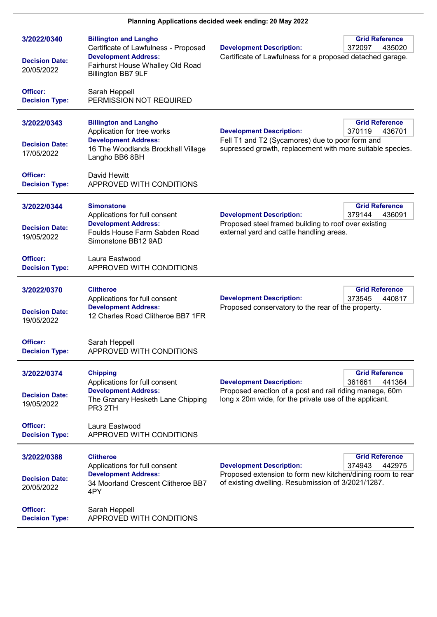| 3/2022/0340<br><b>Decision Date:</b><br>20/05/2022 | <b>Billington and Langho</b><br>Certificate of Lawfulness - Proposed<br><b>Development Address:</b><br>Fairhurst House Whalley Old Road<br>Billington BB7 9LF | <b>Grid Reference</b><br><b>Development Description:</b><br>372097<br>435020<br>Certificate of Lawfulness for a proposed detached garage.                                                         |
|----------------------------------------------------|---------------------------------------------------------------------------------------------------------------------------------------------------------------|---------------------------------------------------------------------------------------------------------------------------------------------------------------------------------------------------|
| Officer:<br><b>Decision Type:</b>                  | Sarah Heppell<br>PERMISSION NOT REQUIRED                                                                                                                      |                                                                                                                                                                                                   |
| 3/2022/0343<br><b>Decision Date:</b><br>17/05/2022 | <b>Billington and Langho</b><br>Application for tree works<br><b>Development Address:</b><br>16 The Woodlands Brockhall Village<br>Langho BB6 8BH             | <b>Grid Reference</b><br><b>Development Description:</b><br>370119<br>436701<br>Fell T1 and T2 (Sycamores) due to poor form and<br>supressed growth, replacement with more suitable species.      |
| Officer:<br><b>Decision Type:</b>                  | David Hewitt<br>APPROVED WITH CONDITIONS                                                                                                                      |                                                                                                                                                                                                   |
| 3/2022/0344<br><b>Decision Date:</b><br>19/05/2022 | <b>Simonstone</b><br>Applications for full consent<br><b>Development Address:</b><br>Foulds House Farm Sabden Road<br>Simonstone BB12 9AD                     | <b>Grid Reference</b><br><b>Development Description:</b><br>379144<br>436091<br>Proposed steel framed building to roof over existing<br>external yard and cattle handling areas.                  |
| Officer:<br><b>Decision Type:</b>                  | Laura Eastwood<br>APPROVED WITH CONDITIONS                                                                                                                    |                                                                                                                                                                                                   |
| 3/2022/0370<br><b>Decision Date:</b><br>19/05/2022 | <b>Clitheroe</b><br>Applications for full consent<br><b>Development Address:</b><br>12 Charles Road Clitheroe BB7 1FR                                         | <b>Grid Reference</b><br><b>Development Description:</b><br>373545<br>440817<br>Proposed conservatory to the rear of the property.                                                                |
| Officer:<br><b>Decision Type:</b>                  | Sarah Heppell<br>APPROVED WITH CONDITIONS                                                                                                                     |                                                                                                                                                                                                   |
| 3/2022/0374<br><b>Decision Date:</b><br>19/05/2022 | <b>Chipping</b><br>Applications for full consent<br><b>Development Address:</b><br>The Granary Hesketh Lane Chipping<br>PR3 2TH                               | <b>Grid Reference</b><br>441364<br><b>Development Description:</b><br>361661<br>Proposed erection of a post and rail riding manege, 60m<br>long x 20m wide, for the private use of the applicant. |
| Officer:<br><b>Decision Type:</b>                  | Laura Eastwood<br>APPROVED WITH CONDITIONS                                                                                                                    |                                                                                                                                                                                                   |
| 3/2022/0388<br><b>Decision Date:</b><br>20/05/2022 | <b>Clitheroe</b><br>Applications for full consent<br><b>Development Address:</b><br>34 Moorland Crescent Clitheroe BB7<br>4PY                                 | <b>Grid Reference</b><br><b>Development Description:</b><br>374943<br>442975<br>Proposed extension to form new kitchen/dining room to rear<br>of existing dwelling. Resubmission of 3/2021/1287.  |
| Officer:<br><b>Decision Type:</b>                  | Sarah Heppell<br>APPROVED WITH CONDITIONS                                                                                                                     |                                                                                                                                                                                                   |